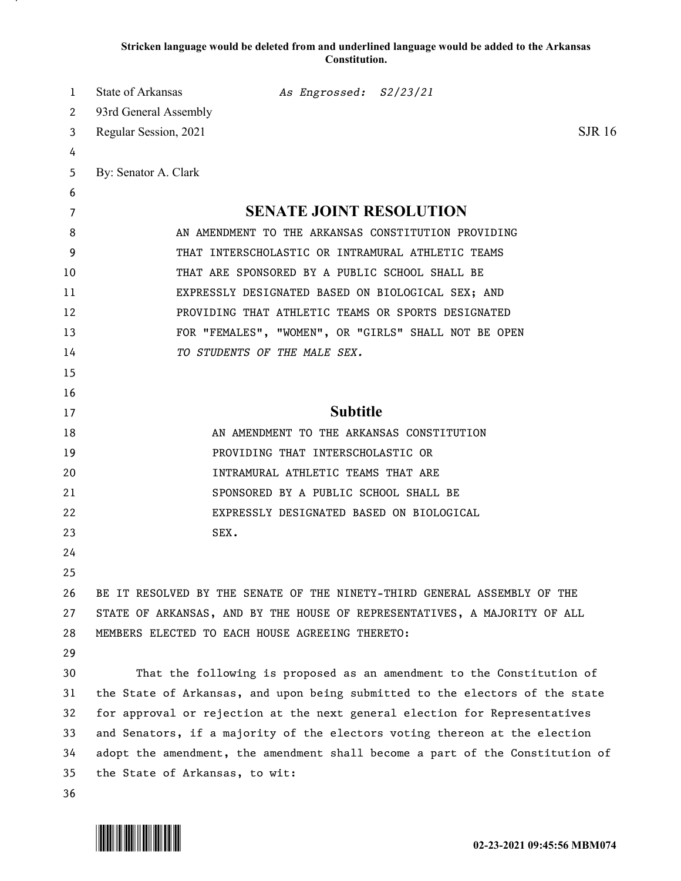## **Stricken language would be deleted from and underlined language would be added to the Arkansas Constitution.**

| 1  | State of Arkansas<br>As Engrossed: S2/23/21                                   |  |
|----|-------------------------------------------------------------------------------|--|
| 2  | 93rd General Assembly                                                         |  |
| 3  | <b>SJR</b> 16<br>Regular Session, 2021                                        |  |
| 4  |                                                                               |  |
| 5  | By: Senator A. Clark                                                          |  |
| 6  |                                                                               |  |
| 7  | <b>SENATE JOINT RESOLUTION</b>                                                |  |
| 8  | AN AMENDMENT TO THE ARKANSAS CONSTITUTION PROVIDING                           |  |
| 9  | THAT INTERSCHOLASTIC OR INTRAMURAL ATHLETIC TEAMS                             |  |
| 10 | THAT ARE SPONSORED BY A PUBLIC SCHOOL SHALL BE                                |  |
| 11 | EXPRESSLY DESIGNATED BASED ON BIOLOGICAL SEX; AND                             |  |
| 12 | PROVIDING THAT ATHLETIC TEAMS OR SPORTS DESIGNATED                            |  |
| 13 | FOR "FEMALES", "WOMEN", OR "GIRLS" SHALL NOT BE OPEN                          |  |
| 14 | TO STUDENTS OF THE MALE SEX.                                                  |  |
| 15 |                                                                               |  |
| 16 |                                                                               |  |
| 17 | <b>Subtitle</b>                                                               |  |
| 18 | AN AMENDMENT TO THE ARKANSAS CONSTITUTION                                     |  |
| 19 | PROVIDING THAT INTERSCHOLASTIC OR                                             |  |
| 20 | INTRAMURAL ATHLETIC TEAMS THAT ARE                                            |  |
| 21 | SPONSORED BY A PUBLIC SCHOOL SHALL BE                                         |  |
| 22 | EXPRESSLY DESIGNATED BASED ON BIOLOGICAL                                      |  |
| 23 | SEX.                                                                          |  |
| 24 |                                                                               |  |
| 25 |                                                                               |  |
| 26 | BE IT RESOLVED BY THE SENATE OF THE NINETY-THIRD GENERAL ASSEMBLY OF THE      |  |
| 27 | STATE OF ARKANSAS, AND BY THE HOUSE OF REPRESENTATIVES, A MAJORITY OF ALL     |  |
| 28 | MEMBERS ELECTED TO EACH HOUSE AGREEING THERETO:                               |  |
| 29 |                                                                               |  |
| 30 | That the following is proposed as an amendment to the Constitution of         |  |
| 31 | the State of Arkansas, and upon being submitted to the electors of the state  |  |
| 32 | for approval or rejection at the next general election for Representatives    |  |
| 33 | and Senators, if a majority of the electors voting thereon at the election    |  |
| 34 | adopt the amendment, the amendment shall become a part of the Constitution of |  |
| 35 | the State of Arkansas, to wit:                                                |  |
| 36 |                                                                               |  |

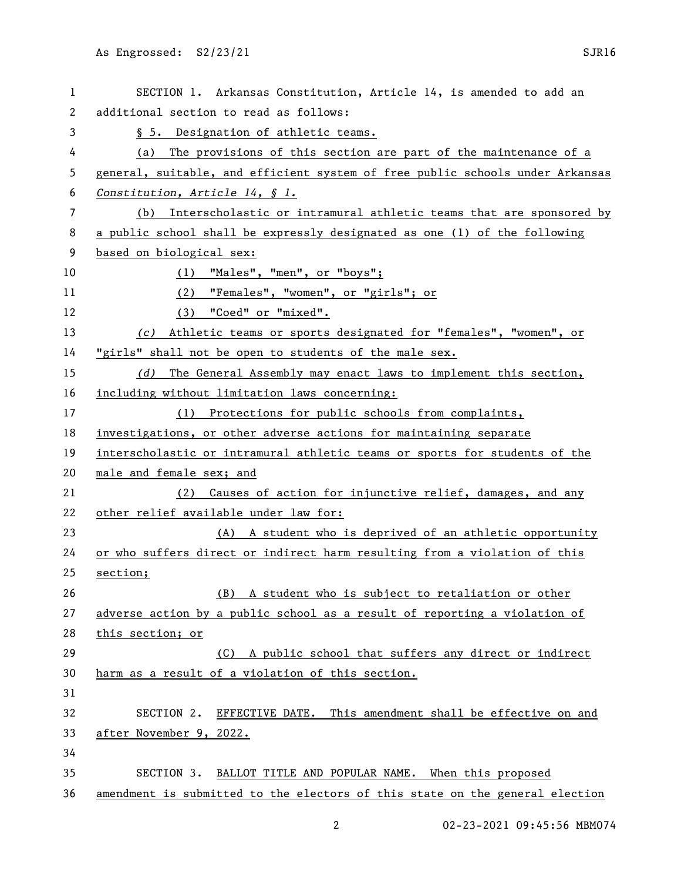| 1  | SECTION 1. Arkansas Constitution, Article 14, is amended to add an            |
|----|-------------------------------------------------------------------------------|
| 2  | additional section to read as follows:                                        |
| 3  | § 5. Designation of athletic teams.                                           |
| 4  | The provisions of this section are part of the maintenance of a<br>(a)        |
| 5  | general, suitable, and efficient system of free public schools under Arkansas |
| 6  | Constitution, Article 14, § 1.                                                |
| 7  | (b) Interscholastic or intramural athletic teams that are sponsored by        |
| 8  | a public school shall be expressly designated as one (1) of the following     |
| 9  | based on biological sex:                                                      |
| 10 | (1) "Males", "men", or "boys";                                                |
| 11 | (2) "Females", "women", or "girls"; or                                        |
| 12 | (3) "Coed" or "mixed".                                                        |
| 13 | (c) Athletic teams or sports designated for "females", "women", or            |
| 14 | "girls" shall not be open to students of the male sex.                        |
| 15 | (d) The General Assembly may enact laws to implement this section,            |
| 16 | including without limitation laws concerning:                                 |
| 17 | (1) Protections for public schools from complaints,                           |
| 18 | investigations, or other adverse actions for maintaining separate             |
| 19 | interscholastic or intramural athletic teams or sports for students of the    |
| 20 | male and female sex; and                                                      |
| 21 | (2) Causes of action for injunctive relief, damages, and any                  |
| 22 | other relief available under law for:                                         |
| 23 | (A) A student who is deprived of an athletic opportunity                      |
| 24 | or who suffers direct or indirect harm resulting from a violation of this     |
| 25 | section;                                                                      |
| 26 | A student who is subject to retaliation or other<br>(B)                       |
| 27 | adverse action by a public school as a result of reporting a violation of     |
| 28 | this section; or                                                              |
| 29 | A public school that suffers any direct or indirect<br>(C)                    |
| 30 | harm as a result of a violation of this section.                              |
| 31 |                                                                               |
| 32 | EFFECTIVE DATE. This amendment shall be effective on and<br>SECTION 2.        |
| 33 | after November 9, 2022.                                                       |
| 34 |                                                                               |
| 35 | SECTION 3.<br>BALLOT TITLE AND POPULAR NAME. When this proposed               |
| 36 | amendment is submitted to the electors of this state on the general election  |

02-23-2021 09:45:56 MBM074